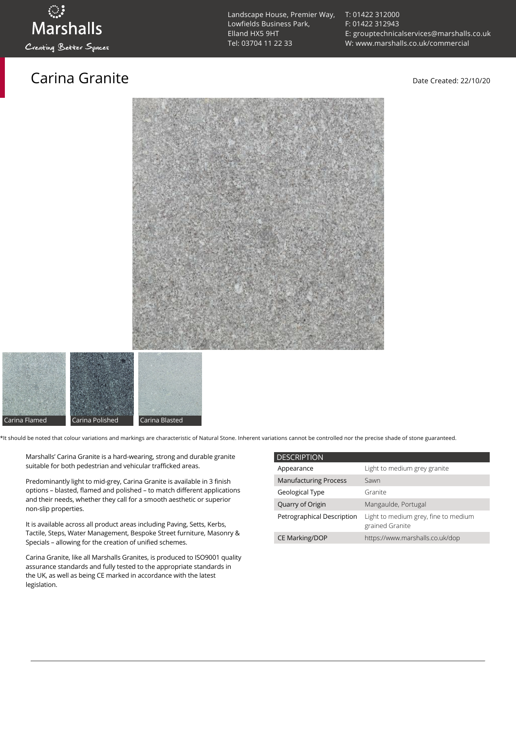### Carina Granite **Carina Granite** Date Created: 22/10/20

[T: 01422 312000](tel:01422%20312000) [F: 01422 312943](tel:01422%20312943) [E: grouptechnicalservices@marshalls.co.uk](mailto:grouptechnicalservices@marshalls.co.uk) [W: www.marshalls.co.uk/commercial](https://www.marshalls.co.uk/commercial)





\*It should be noted that colour variations and markings are characteristic of Natural Stone. Inherent variations cannot be controlled nor the precise shade of stone guaranteed.

- Marshalls' Carina Granite is a hard-wearing, strong and durable granite suitable for both pedestrian and vehicular trafficked areas.
- Predominantly light to mid-grey, Carina Granite is available in 3 finish options – blasted, flamed and polished – to match different applications and their needs, whether they call for a smooth aesthetic or superior non-slip properties.
- It is available across all product areas including Paving, Setts, Kerbs, Tactile, Steps, Water Management, Bespoke Street furniture, Masonry & Specials – allowing for the creation of unified schemes.
- Carina Granite, like all Marshalls Granites, is produced to ISO9001 quality assurance standards and fully tested to the appropriate standards in the UK, as well as being CE marked in accordance with the latest legislation.

| <b>DESCRIPTION</b>           |                                                         |
|------------------------------|---------------------------------------------------------|
| Appearance                   | Light to medium grey granite                            |
| <b>Manufacturing Process</b> | Sawn                                                    |
| Geological Type              | Granite                                                 |
| Quarry of Origin             | Mangaulde, Portugal                                     |
| Petrographical Description   | Light to medium grey, fine to medium<br>grained Granite |
| <b>CE Marking/DOP</b>        | https://www.marshalls.co.uk/dop                         |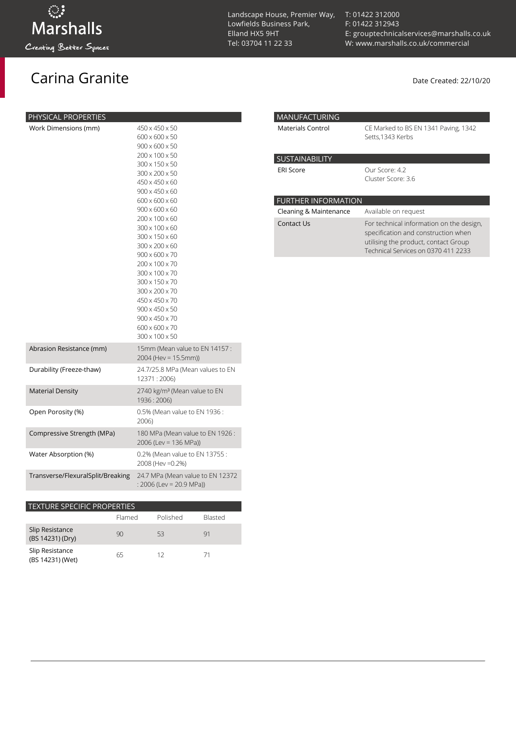## Carina Granite **Carina Granite** Date Created: 22/10/20

| PHYSICAL PROPERTIES               |                                                                                                                                                                                                                                                                                                                                                                                                                                                                                                                                  |
|-----------------------------------|----------------------------------------------------------------------------------------------------------------------------------------------------------------------------------------------------------------------------------------------------------------------------------------------------------------------------------------------------------------------------------------------------------------------------------------------------------------------------------------------------------------------------------|
| Work Dimensions (mm)              | 450 x 450 x 50<br>600 x 600 x 50<br>$900 \times 600 \times 50$<br>200 x 100 x 50<br>300 x 150 x 50<br>300 x 200 x 50<br>450 x 450 x 60<br>$900 \times 450 \times 60$<br>$600 \times 600 \times 60$<br>$900 \times 600 \times 60$<br>$200 \times 100 \times 60$<br>300 x 100 x 60<br>300 x 150 x 60<br>300 x 200 x 60<br>$900 \times 600 \times 70$<br>200 x 100 x 70<br>300 x 100 x 70<br>300 x 150 x 70<br>300 x 200 x 70<br>450 x 450 x 70<br>900 x 450 x 50<br>$900 \times 450 \times 70$<br>600 x 600 x 70<br>300 x 100 x 50 |
| Abrasion Resistance (mm)          | 15mm (Mean value to EN 14157:<br>2004 (Hev = 15.5mm))                                                                                                                                                                                                                                                                                                                                                                                                                                                                            |
| Durability (Freeze-thaw)          | 24.7/25.8 MPa (Mean values to EN<br>12371:2006)                                                                                                                                                                                                                                                                                                                                                                                                                                                                                  |
| <b>Material Density</b>           | 2740 kg/m <sup>3</sup> (Mean value to EN<br>1936 : 2006)                                                                                                                                                                                                                                                                                                                                                                                                                                                                         |
| Open Porosity (%)                 | 0.5% (Mean value to EN 1936 :<br>2006)                                                                                                                                                                                                                                                                                                                                                                                                                                                                                           |
| Compressive Strength (MPa)        | 180 MPa (Mean value to EN 1926:<br>2006 (Lev = 136 MPa))                                                                                                                                                                                                                                                                                                                                                                                                                                                                         |
| Water Absorption (%)              | 0.2% (Mean value to EN 13755 :<br>2008 (Hev = 0.2%)                                                                                                                                                                                                                                                                                                                                                                                                                                                                              |
| Transverse/FlexuralSplit/Breaking | 24.7 MPa (Mean value to EN 12372<br>: 2006 (Lev = 20.9 MPa))                                                                                                                                                                                                                                                                                                                                                                                                                                                                     |

| <b>TEXTURE SPECIFIC PROPERTIES</b>  |        |          |                |  |
|-------------------------------------|--------|----------|----------------|--|
|                                     | Flamed | Polished | <b>Blasted</b> |  |
| Slip Resistance<br>(BS 14231) (Dry) | 90     | 53       | 91             |  |
| Slip Resistance<br>(BS 14231) (Wet) | 65     | 12       | 71             |  |

Landscape House, Premier Way, Lowfields Business Park, Elland HX5 9HT [Tel: 03704 11 22 33](tel:03704112233)

[T: 01422 312000](tel:01422%20312000) [F: 01422 312943](tel:01422%20312943) [E: grouptechnicalservices@marshalls.co.uk](mailto:grouptechnicalservices@marshalls.co.uk) [W: www.marshalls.co.uk/commercial](https://www.marshalls.co.uk/commercial)

| <b>MANUFACTURING</b>       |                                                                                                                                                                |  |
|----------------------------|----------------------------------------------------------------------------------------------------------------------------------------------------------------|--|
| Materials Control          | CE Marked to BS EN 1341 Paving, 1342<br>Setts, 1343 Kerbs                                                                                                      |  |
| <b>SUSTAINABILITY</b>      |                                                                                                                                                                |  |
| <b>ERI Score</b>           | Our Score: 4.2<br>Cluster Score: 3.6                                                                                                                           |  |
| <b>FURTHER INFORMATION</b> |                                                                                                                                                                |  |
| Cleaning & Maintenance     | Available on request                                                                                                                                           |  |
| Contact Us                 | For technical information on the design,<br>specification and construction when<br>utilising the product, contact Group<br>Technical Services on 0370 411 2233 |  |